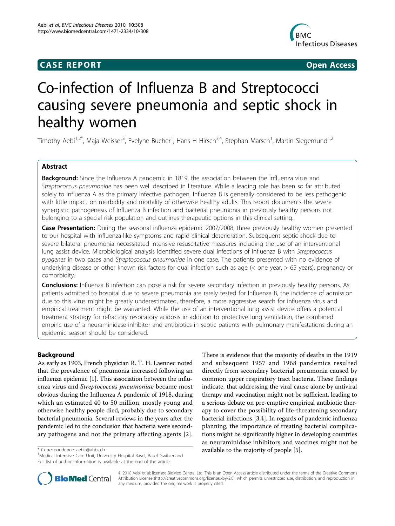## **CASE REPORT CASE REPORT CASE REPORT**



# Co-infection of Influenza B and Streptococci causing severe pneumonia and septic shock in healthy women

Timothy Aebi<sup>1,2\*</sup>, Maja Weisser<sup>3</sup>, Evelyne Bucher<sup>1</sup>, Hans H Hirsch<sup>3,4</sup>, Stephan Marsch<sup>1</sup>, Martin Siegemund<sup>1,2</sup>

## Abstract

**Background:** Since the Influenza A pandemic in 1819, the association between the influenza virus and Streptococcus pneumoniae has been well described in literature. While a leading role has been so far attributed solely to Influenza A as the primary infective pathogen, Influenza B is generally considered to be less pathogenic with little impact on morbidity and mortality of otherwise healthy adults. This report documents the severe synergistic pathogenesis of Influenza B infection and bacterial pneumonia in previously healthy persons not belonging to a special risk population and outlines therapeutic options in this clinical setting.

Case Presentation: During the seasonal influenza epidemic 2007/2008, three previously healthy women presented to our hospital with influenza-like symptoms and rapid clinical deterioration. Subsequent septic shock due to severe bilateral pneumonia necessitated intensive resuscitative measures including the use of an interventional lung assist device. Microbiological analysis identified severe dual infections of Influenza B with Streptococcus pyogenes in two cases and Streptococcus pneumoniae in one case. The patients presented with no evidence of underlying disease or other known risk factors for dual infection such as age (< one year, > 65 years), pregnancy or comorbidity.

**Conclusions:** Influenza B infection can pose a risk for severe secondary infection in previously healthy persons. As patients admitted to hospital due to severe pneumonia are rarely tested for Influenza B, the incidence of admission due to this virus might be greatly underestimated, therefore, a more aggressive search for influenza virus and empirical treatment might be warranted. While the use of an interventional lung assist device offers a potential treatment strategy for refractory respiratory acidosis in addition to protective lung ventilation, the combined empiric use of a neuraminidase-inhibitor and antibiotics in septic patients with pulmonary manifestations during an epidemic season should be considered.

## Background

As early as 1903, French physician R. T. H. Laennec noted that the prevalence of pneumonia increased following an influenza epidemic [[1\]](#page-5-0). This association between the influenza virus and Streptococcus pneumoniae became most obvious during the Influenza A pandemic of 1918, during which an estimated 40 to 50 million, mostly young and otherwise healthy people died, probably due to secondary bacterial pneumonia. Several reviews in the years after the pandemic led to the conclusion that bacteria were secondary pathogens and not the primary affecting agents [[2](#page-5-0)].

There is evidence that the majority of deaths in the 1919 and subsequent 1957 and 1968 pandemics resulted directly from secondary bacterial pneumonia caused by common upper respiratory tract bacteria. These findings indicate, that addressing the viral cause alone by antiviral therapy and vaccination might not be sufficient, leading to a serious debate on pre-emptive empirical antibiotic therapy to cover the possibility of life-threatening secondary bacterial infections [\[3,4](#page-5-0)]. In regards of pandemic influenza planning, the importance of treating bacterial complications might be significantly higher in developing countries as neuraminidase inhibitors and vaccines might not be \* Correspondence: [aebit@uhbs.ch](mailto:aebit@uhbs.ch) available to the majority of people [\[5](#page-5-0)]. <sup>1</sup>



© 2010 Aebi et al; licensee BioMed Central Ltd. This is an Open Access article distributed under the terms of the Creative Commons Attribution License [\(http://creativecommons.org/licenses/by/2.0](http://creativecommons.org/licenses/by/2.0)), which permits unrestricted use, distribution, and reproduction in any medium, provided the original work is properly cited.

<sup>&</sup>lt;sup>1</sup>Medical Intensive Care Unit, University Hospital Basel, Basel, Switzerland Full list of author information is available at the end of the article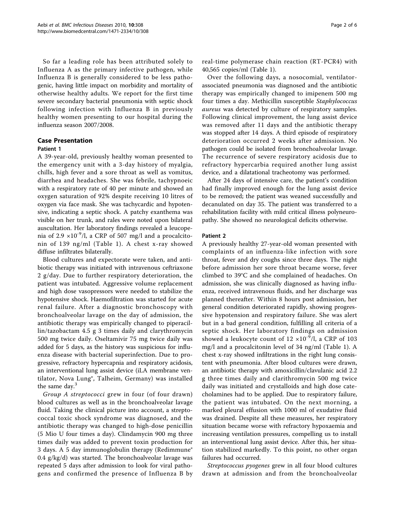So far a leading role has been attributed solely to Influenza A as the primary infective pathogen, while Influenza B is generally considered to be less pathogenic, having little impact on morbidity and mortality of otherwise healthy adults. We report for the first time severe secondary bacterial pneumonia with septic shock following infection with Influenza B in previously healthy women presenting to our hospital during the influenza season 2007/2008.

## Case Presentation

## Patient 1

A 39-year-old, previously healthy woman presented to the emergency unit with a 3-day history of myalgia, chills, high fever and a sore throat as well as vomitus, diarrhea and headaches. She was febrile, tachypnoeic with a respiratory rate of 40 per minute and showed an oxygen saturation of 92% despite receiving 10 litres of oxygen via face mask. She was tachycardic and hypotensive, indicating a septic shock. A patchy exanthema was visible on her trunk, and rales were noted upon bilateral auscultation. Her laboratory findings revealed a leucopenia of 2.9  $\times$ 10<sup>-9</sup>/l, a CRP of 507 mg/l and a procalcitonin of 139 ng/ml (Table [1\)](#page-2-0). A chest x-ray showed diffuse infiltrates bilaterally.

Blood cultures and expectorate were taken, and antibiotic therapy was initiated with intravenous ceftriaxone 2 g/day. Due to further respiratory deterioration, the patient was intubated. Aggressive volume replacement and high dose vasopressors were needed to stabilize the hypotensive shock. Haemofiltration was started for acute renal failure. After a diagnostic bronchoscopy with bronchoalveolar lavage on the day of admission, the antibiotic therapy was empirically changed to piperacillin/tazobactam 4.5 g 3 times daily and clarythromycin 500 mg twice daily. Oseltamivir 75 mg twice daily was added for 5 days, as the history was suspicious for influenza disease with bacterial superinfection. Due to progressive, refractory hypercapnia and respiratory acidosis, an interventional lung assist device (iLA membrane ventilator, Nova Lung®, Talheim, Germany) was installed the same day.<sup>3</sup>

Group A streptococci grew in four (of four drawn) blood cultures as well as in the bronchoalveolar lavage fluid. Taking the clinical picture into account, a streptococcal toxic shock syndrome was diagnosed, and the antibiotic therapy was changed to high-dose penicillin (5 Mio U four times a day). Clindamycin 900 mg three times daily was added to prevent toxin production for 3 days. A 5 day immunoglobulin therapy (Redimmune® 0.4 g/kg/d) was started. The bronchoalveolar lavage was repeated 5 days after admission to look for viral pathogens and confirmed the presence of Influenza B by real-time polymerase chain reaction (RT-PCR4) with 40,565 copies/ml (Table [1](#page-2-0)).

Over the following days, a nosocomial, ventilatorassociated pneumonia was diagnosed and the antibiotic therapy was empirically changed to imipenem 500 mg four times a day. Methicillin susceptible Staphylococcus aureus was detected by culture of respiratory samples. Following clinical improvement, the lung assist device was removed after 11 days and the antibiotic therapy was stopped after 14 days. A third episode of respiratory deterioration occurred 2 weeks after admission. No pathogen could be isolated from bronchoalveolar lavage. The recurrence of severe respiratory acidosis due to refractory hypercarbia required another lung assist device, and a dilatational tracheotomy was performed.

After 24 days of intensive care, the patient's condition had finally improved enough for the lung assist device to be removed; the patient was weaned successfully and decanulated on day 35. The patient was transferred to a rehabilitation facility with mild critical illness polyneuropathy. She showed no neurological deficits otherwise.

### Patient 2

A previously healthy 27-year-old woman presented with complaints of an influenza-like infection with sore throat, fever and dry coughs since three days. The night before admission her sore throat became worse, fever climbed to 39°C and she complained of headaches. On admission, she was clinically diagnosed as having influenza, received intravenous fluids, and her discharge was planned thereafter. Within 8 hours post admission, her general condition deteriorated rapidly, showing progressive hypotension and respiratory failure. She was alert but in a bad general condition, fulfilling all criteria of a septic shock. Her laboratory findings on admission showed a leukocyte count of  $12 \times 10^{-9}$ /l, a CRP of 103 mg/l and a procalcitonin level of 34 ng/ml (Table [1\)](#page-2-0). A chest x-ray showed infiltrations in the right lung consistent with pneumonia. After blood cultures were drawn, an antibiotic therapy with amoxicillin/clavulanic acid 2.2 g three times daily and clarithromycin 500 mg twice daily was initiated and crystalloids and high dose catecholamines had to be applied. Due to respiratory failure, the patient was intubated. On the next morning, a marked pleural effusion with 1000 ml of exudative fluid was drained. Despite all these measures, her respiratory situation became worse with refractory hypoxaemia and increasing ventilation pressures, compelling us to install an interventional lung assist device. After this, her situation stabilized markedly. To this point, no other organ failures had occurred.

Streptococcus pyogenes grew in all four blood cultures drawn at admission and from the bronchoalveolar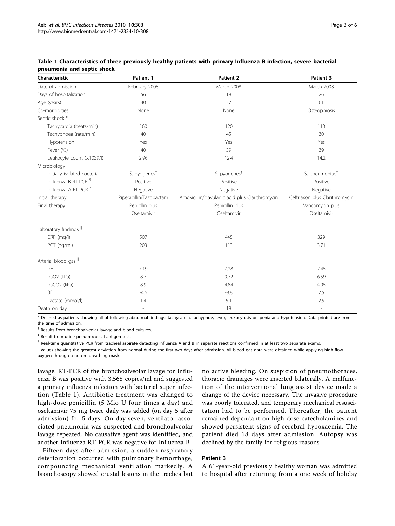| Characteristic                    | Patient 1                | Patient 2                                       | Patient 3                      |
|-----------------------------------|--------------------------|-------------------------------------------------|--------------------------------|
| Date of admission                 | February 2008            | March 2008                                      | March 2008                     |
| Days of hospitalization           | 56                       | 18                                              | 26                             |
| Age (years)                       | 40                       | 27                                              | 61                             |
| Co-morbidities                    | None                     | None                                            | Osteoporosis                   |
| Septic shock *                    |                          |                                                 |                                |
| Tachycardia (beats/min)           | 160                      | 120                                             | 110                            |
| Tachypnoea (rate/min)             | 40                       | 45                                              | 30                             |
| Hypotension                       | Yes                      | Yes                                             | Yes                            |
| Fever (°C)                        | 40                       | 39                                              | 39                             |
| Leukocyte count (x10S9/l)         | 2.96                     | 12.4                                            | 14.2                           |
| Microbiology                      |                          |                                                 |                                |
| Initially isolated bacteria       | S. pyogenes <sup>t</sup> | S. pyogenes <sup>t</sup>                        | S. pneumoniae <sup>#</sup>     |
| Influenza B RT-PCR <sup>§</sup>   | Positive                 | Positive                                        | Positive                       |
| Influenza A RT-PCR <sup>§</sup>   | Negative                 | Negative                                        | Negative                       |
| Initial therapy                   | Piperacillin/Tazobactam  | Amoxicillin/clavulanic acid plus Clarithromycin | Ceftriaxon plus Clarithromycin |
| Final therapy                     | Penicllin plus           | Penicillin plus                                 | Vancomycin plus                |
|                                   | Oseltamivir              | Oseltamivir                                     | Oseltamivir                    |
| Laboratory findings <sup>II</sup> |                          |                                                 |                                |
| $CRP$ (mg/l)                      | 507                      | 445                                             | 329                            |
| PCT (ng/ml)                       | 203                      | 113                                             | 3.71                           |
| Arterial blood gas II             |                          |                                                 |                                |
| pH                                | 7.19                     | 7.28                                            | 7.45                           |
| paO2 (kPa)                        | 8.7                      | 9.72                                            | 6.59                           |
| paCO2 (kPa)                       | 8.9                      | 4.84                                            | 4.95                           |
| <b>BF</b>                         | $-4.6$                   | $-8.8$                                          | 2.5                            |
| Lactate (mmol/l)                  | 1.4                      | 5.1                                             | 2.5                            |
| Death on day                      | $\overline{\phantom{a}}$ | 18                                              | $\overline{\phantom{a}}$       |

## <span id="page-2-0"></span>Table 1 Characteristics of three previously healthy patients with primary Influenza B infection, severe bacterial pneumonia and septic shock

\* Defined as patients showing all of following abnormal findings: tachycardia, tachypnoe, fever, leukocytosis or -penia and hypotension. Data printed are from the time of admission.

† Results from bronchoalveolar lavage and blood cultures.

‡ Result from urine pneumococcal antigen test.

§ Real-time quantitative PCR from tracheal aspirate detecting Influenza A and B in separate reactions confirmed in at least two separate exams.

|| Values showing the greatest deviation from normal during the first two days after admission. All blood gas data were obtained while applying high flow oxygen through a non re-breathing mask.

lavage. RT-PCR of the bronchoalveolar lavage for Influenza B was positive with 3,568 copies/ml and suggested a primary influenza infection with bacterial super infection (Table 1). Antibiotic treatment was changed to high-dose penicillin (5 Mio U four times a day) and oseltamivir 75 mg twice daily was added (on day 5 after admission) for 5 days. On day seven, ventilator associated pneumonia was suspected and bronchoalveolar lavage repeated. No causative agent was identified, and another Influenza RT-PCR was negative for Influenza B.

Fifteen days after admission, a sudden respiratory deterioration occurred with pulmonary hemorrhage, compounding mechanical ventilation markedly. A bronchoscopy showed crustal lesions in the trachea but no active bleeding. On suspicion of pneumothoraces, thoracic drainages were inserted bilaterally. A malfunction of the interventional lung assist device made a change of the device necessary. The invasive procedure was poorly tolerated, and temporary mechanical resuscitation had to be performed. Thereafter, the patient remained dependant on high dose catecholamines and showed persistent signs of cerebral hypoxaemia. The patient died 18 days after admission. Autopsy was declined by the family for religious reasons.

### Patient 3

A 61-year-old previously healthy woman was admitted to hospital after returning from a one week of holiday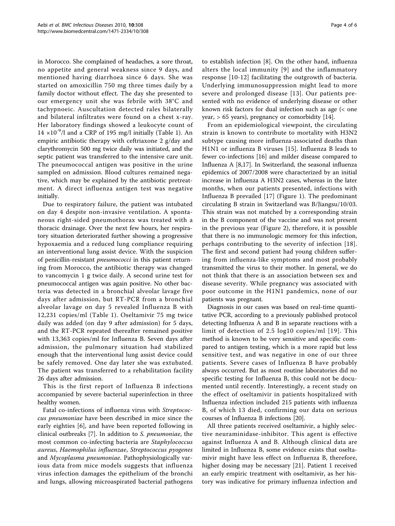in Morocco. She complained of headaches, a sore throat, no appetite and general weakness since 9 days, and mentioned having diarrhoea since 6 days. She was started on amoxicillin 750 mg three times daily by a family doctor without effect. The day she presented to our emergency unit she was febrile with 38°C and tachypnoeic. Auscultation detected rales bilaterally and bilateral infiltrates were found on a chest x-ray. Her laboratory findings showed a leukocyte count of 14  $\times$ 10<sup>-9</sup>/l and a CRP of [1](#page-2-0)95 mg/l initially (Table 1). An empiric antibiotic therapy with ceftriaxone 2 g/day and clarythromycin 500 mg twice daily was initiated, and the septic patient was transferred to the intensive care unit. The pneumococcal antigen was positive in the urine sampled on admission. Blood cultures remained negative, which may be explained by the antibiotic pretreatment. A direct influenza antigen test was negative initially.

Due to respiratory failure, the patient was intubated on day 4 despite non-invasive ventilation. A spontaneous right-sided pneumothorax was treated with a thoracic drainage. Over the next few hours, her respiratory situation deteriorated further showing a progressive hypoxaemia and a reduced lung compliance requiring an interventional lung assist device. With the suspicion of penicillin-resistant pneumococci in this patient returning from Morocco, the antibiotic therapy was changed to vancomycin 1 g twice daily. A second urine test for pneumococcal antigen was again positive. No other bacteria was detected in a bronchial alveolar lavage five days after admission, but RT-PCR from a bronchial alveolar lavage on day 5 revealed Influenza B with 12,231 copies/ml (Table [1](#page-2-0)). Oseltamivir 75 mg twice daily was added (on day 9 after admission) for 5 days, and the RT-PCR repeated thereafter remained positive with 13,363 copies/ml for Influenza B. Seven days after admission, the pulmonary situation had stabilized enough that the interventional lung assist device could be safely removed. One day later she was extubated. The patient was transferred to a rehabilitation facility 26 days after admission.

This is the first report of Influenza B infections accompanied by severe bacterial superinfection in three healthy women.

Fatal co-infections of influenza virus with Streptococcus pneumoniae have been described in mice since the early eighties [[6\]](#page-5-0), and have been reported following in clinical outbreaks [\[7](#page-5-0)]. In addition to S. pneumoniae, the most common co-infecting bacteria are Staphylococcus aureus, Haemophilus influenzae, Streptococcus pyogenes and Mycoplasma pneumoniae. Pathophysiologically various data from mice models suggests that influenza virus infection damages the epithelium of the bronchi and lungs, allowing microaspirated bacterial pathogens to establish infection [\[8](#page-5-0)]. On the other hand, influenza alters the local immunity [[9\]](#page-5-0) and the inflammatory response [\[10-12](#page-5-0)] facilitating the outgrowth of bacteria. Underlying immunosuppression might lead to more severe and prolonged disease [[13\]](#page-5-0). Our patients presented with no evidence of underlying disease or other known risk factors for dual infection such as age (< one year,  $> 65$  years), pregnancy or comorbidity [\[14\]](#page-5-0).

From an epidemiological viewpoint, the circulating strain is known to contribute to mortality with H3N2 subtype causing more influenza-associated deaths than H1N1 or influenza B viruses [[15](#page-5-0)]. Influenza B leads to fewer co-infections [[16\]](#page-5-0) and milder disease compared to Influenza A [[8,17\]](#page-5-0). In Switzerland, the seasonal influenza epidemics of 2007/2008 were characterized by an initial increase in Influenza A H3N2 cases, whereas in the later months, when our patients presented, infections with Influenza B prevailed [[17](#page-5-0)] (Figure [1\)](#page-4-0). The predominant circulating B strain in Switzerland was B/Jiangsu/10/03. This strain was not matched by a corresponding strain in the B component of the vaccine and was not present in the previous year (Figure [2](#page-4-0)), therefore, it is possible that there is no immunologic memory for this infection, perhaps contributing to the severity of infection [[18](#page-5-0)]. The first and second patient had young children suffering from influenza-like symptoms and most probably transmitted the virus to their mother. In general, we do not think that there is an association between sex and disease severity. While pregnancy was associated with poor outcome in the H1N1 pandemics, none of our patients was pregnant.

Diagnosis in our cases was based on real-time quantitative PCR, according to a previously published protocol detecting Influenza A and B in separate reactions with a limit of detection of 2.5 log10 copies/ml [[19\]](#page-5-0). This method is known to be very sensitive and specific compared to antigen testing, which is a more rapid but less sensitive test, and was negative in one of our three patients. Severe cases of Influenza B have probably always occurred. But as most routine laboratories did no specific testing for Influenza B, this could not be documented until recently. Interestingly, a recent study on the effect of oseltamivir in patients hospitalized with Influenza infection included 215 patients with influenza B, of which 13 died, confirming our data on serious courses of Influenza B infections [\[20](#page-5-0)].

All three patients received oseltamivir, a highly selective neuraminidase-inhibitor. This agent is effective against Influenza A and B. Although clinical data are limited in Influenza B, some evidence exists that oseltamivir might have less effect on Influenza B, therefore, higher dosing may be necessary [[21\]](#page-5-0). Patient 1 received an early empiric treatment with oseltamivir, as her history was indicative for primary influenza infection and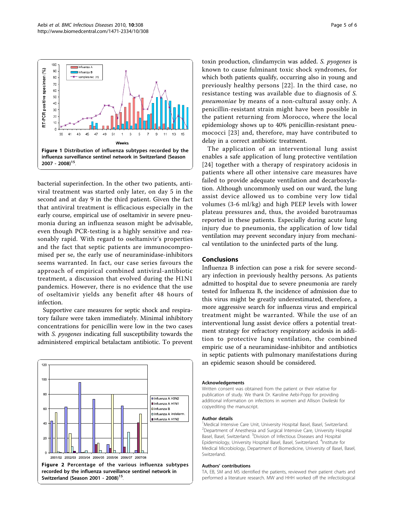$2007 - 2008$ <sup>15</sup>

<span id="page-4-0"></span>

bacterial superinfection. In the other two patients, antiviral treatment was started only later, on day 5 in the second and at day 9 in the third patient. Given the fact that antiviral treatment is efficacious especially in the early course, empirical use of oseltamivir in severe pneumonia during an influenza season might be advisable, even though PCR-testing is a highly sensitive and reasonably rapid. With regard to oseltamivir's properties and the fact that septic patients are immunocompromised per se, the early use of neuraminidase-inhibitors seems warranted. In fact, our case series favours the approach of empirical combined antiviral-antibiotic treatment, a discussion that evolved during the H1N1 pandemics. However, there is no evidence that the use of oseltamivir yields any benefit after 48 hours of infection.

Supportive care measures for septic shock and respiratory failure were taken immediately. Minimal inhibitory concentrations for penicillin were low in the two cases with *S. pyogenes* indicating full susceptibility towards the administered empirical betalactam antibiotic. To prevent



toxin production, clindamycin was added. S. pyogenes is known to cause fulminant toxic shock syndromes, for which both patients qualify, occurring also in young and previously healthy persons [\[22\]](#page-5-0). In the third case, no resistance testing was available due to diagnosis of S. pneumoniae by means of a non-cultural assay only. A penicillin-resistant strain might have been possible in the patient returning from Morocco, where the local epidemiology shows up to 40% penicillin-resistant pneumococci [[23\]](#page-5-0) and, therefore, may have contributed to delay in a correct antibiotic treatment.

The application of an interventional lung assist enables a safe application of lung protective ventilation [[24](#page-5-0)] together with a therapy of respiratory acidosis in patients where all other intensive care measures have failed to provide adequate ventilation and decarboxylation. Although uncommonly used on our ward, the lung assist device allowed us to combine very low tidal volumes (3-6 ml/kg) and high PEEP levels with lower plateau pressures and, thus, the avoided barotraumas reported in these patients. Especially during acute lung injury due to pneumonia, the application of low tidal ventilation may prevent secondary injury from mechanical ventilation to the uninfected parts of the lung.

### Conclusions

Influenza B infection can pose a risk for severe secondary infection in previously healthy persons. As patients admitted to hospital due to severe pneumonia are rarely tested for Influenza B, the incidence of admission due to this virus might be greatly underestimated, therefore, a more aggressive search for influenza virus and empirical treatment might be warranted. While the use of an interventional lung assist device offers a potential treatment strategy for refractory respiratory acidosis in addition to protective lung ventilation, the combined empiric use of a neuraminidase-inhibitor and antibiotics in septic patients with pulmonary manifestations during an epidemic season should be considered.

#### Acknowledgements

Written consent was obtained from the patient or their relative for publication of study. We thank Dr. Karoline Aebi-Popp for providing additional information on infections in women and Allison Dwileski for copyediting the manuscript.

#### Author details

<sup>1</sup>Medical Intensive Care Unit, University Hospital Basel, Basel, Switzerland. <sup>2</sup> Department of Anesthesia and Surgical Intensive Care, University Hospital Basel, Basel, Switzerland. <sup>3</sup>Division of Infectious Diseases and Hospital Epidemiology, University Hospital Basel, Basel, Switzerland. <sup>4</sup>Institute for Medical Microbiology, Department of Biomedicine, University of Basel, Basel, Switzerland.

#### Authors' contributions

TA, EB, SM and MS identified the patients, reviewed their patient charts and performed a literature research. MW and HHH worked off the infectiological